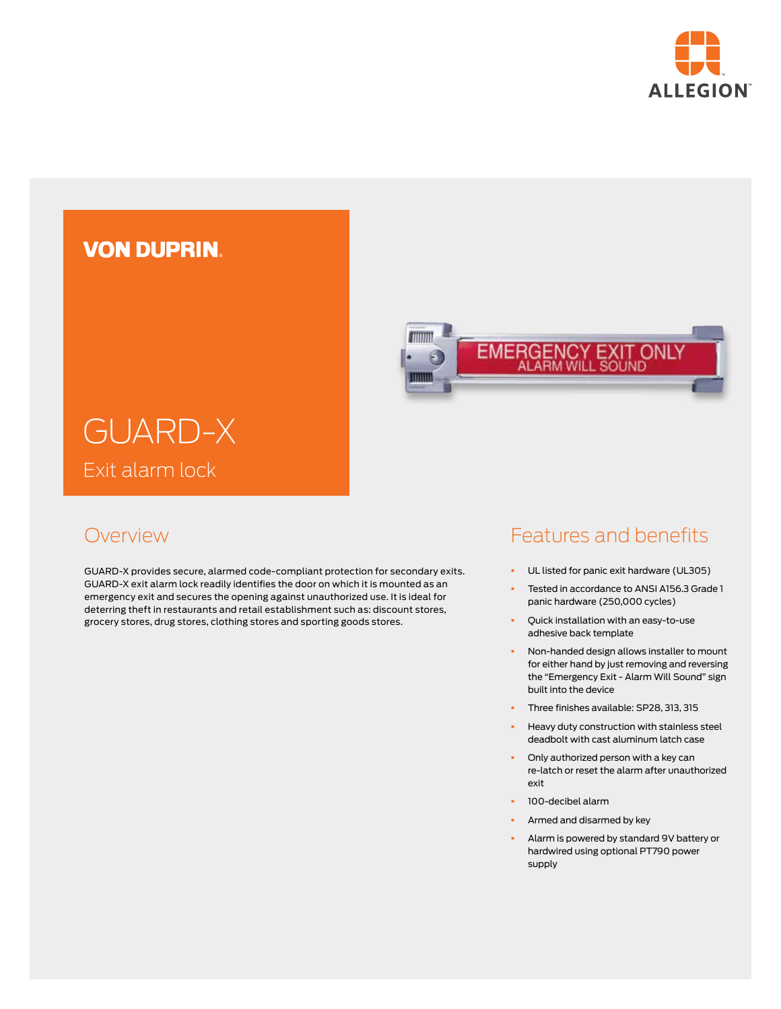

## **VON DUPRIN**



# GUARD-X Exit alarm lock

### Overview

GUARD-X provides secure, alarmed code-compliant protection for secondary exits. GUARD-X exit alarm lock readily identifies the door on which it is mounted as an emergency exit and secures the opening against unauthorized use. It is ideal for deterring theft in restaurants and retail establishment such as: discount stores, grocery stores, drug stores, clothing stores and sporting goods stores.

### Features and benefits

- § UL listed for panic exit hardware (UL305)
- § Tested in accordance to ANSI A156.3 Grade 1 panic hardware (250,000 cycles)
- § Quick installation with an easy-to-use adhesive back template
- **•** Non-handed design allows installer to mount for either hand by just removing and reversing the "Emergency Exit - Alarm Will Sound" sign built into the device
- § Three finishes available: SP28, 313, 315
- § Heavy duty construction with stainless steel deadbolt with cast aluminum latch case
- § Only authorized person with a key can re-latch or reset the alarm after unauthorized exit
- § 100-decibel alarm
- § Armed and disarmed by key
- § Alarm is powered by standard 9V battery or hardwired using optional PT790 power supply